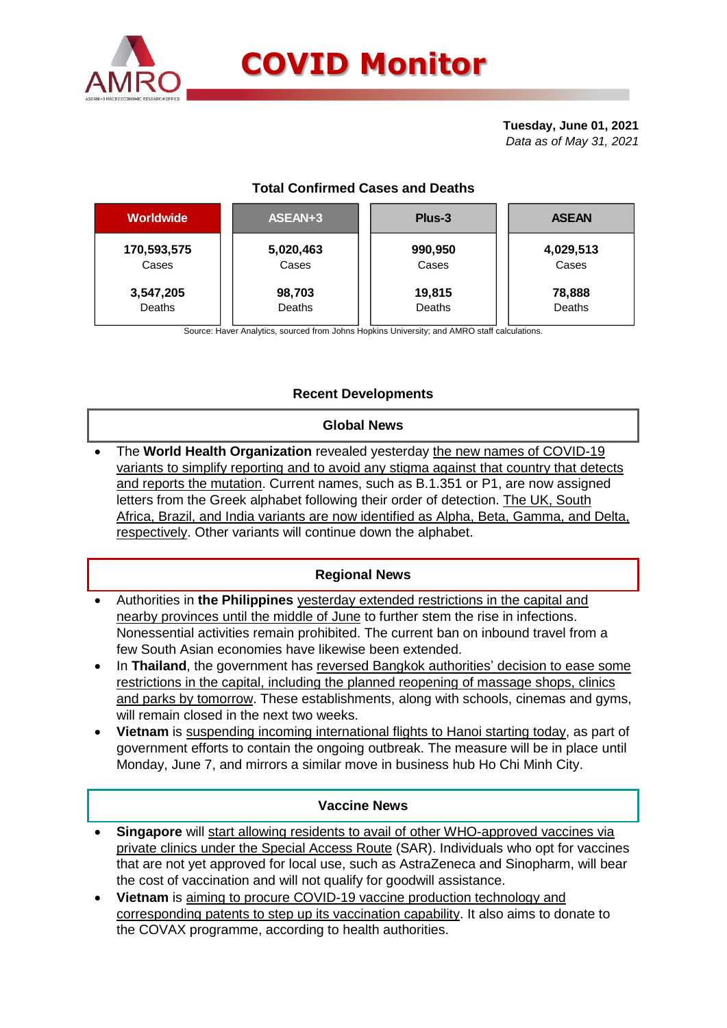

# **COVID Monitor**

#### **Tuesday, June 01, 2021** *Data as of May 31, 2021*

# **Total Confirmed Cases and Deaths**

| <b>Worldwide</b> | ASEAN+3   | Plus-3  | <b>ASEAN</b> |  |  |
|------------------|-----------|---------|--------------|--|--|
| 170,593,575      | 5,020,463 | 990,950 | 4,029,513    |  |  |
| Cases            | Cases     | Cases   | Cases        |  |  |
| 3,547,205        | 98,703    | 19,815  | 78,888       |  |  |
| Deaths           | Deaths    | Deaths  | Deaths       |  |  |

Source: Haver Analytics, sourced from Johns Hopkins University; and AMRO staff calculations.

# **Recent Developments**

### **Global News**

 The **World Health Organization** revealed yesterday the new names of COVID-19 variants to simplify reporting and to avoid any stigma against that country that detects and reports the mutation. Current names, such as B.1.351 or P1, are now assigned letters from the Greek alphabet following their order of detection. The UK, South Africa, Brazil, and India variants are now identified as Alpha, Beta, Gamma, and Delta, respectively. Other variants will continue down the alphabet.

### **Regional News**

- Authorities in **the Philippines** yesterday extended restrictions in the capital and nearby provinces until the middle of June to further stem the rise in infections. Nonessential activities remain prohibited. The current ban on inbound travel from a few South Asian economies have likewise been extended.
- In Thailand, the government has reversed Bangkok authorities' decision to ease some restrictions in the capital, including the planned reopening of massage shops, clinics and parks by tomorrow. These establishments, along with schools, cinemas and gyms, will remain closed in the next two weeks.
- **Vietnam** is suspending incoming international flights to Hanoi starting today, as part of government efforts to contain the ongoing outbreak. The measure will be in place until Monday, June 7, and mirrors a similar move in business hub Ho Chi Minh City.

### **Vaccine News**

- **Singapore** will start allowing residents to avail of other WHO-approved vaccines via private clinics under the Special Access Route (SAR). Individuals who opt for vaccines that are not yet approved for local use, such as AstraZeneca and Sinopharm, will bear the cost of vaccination and will not qualify for goodwill assistance.
- **Vietnam** is aiming to procure COVID-19 vaccine production technology and corresponding patents to step up its vaccination capability. It also aims to donate to the COVAX programme, according to health authorities.